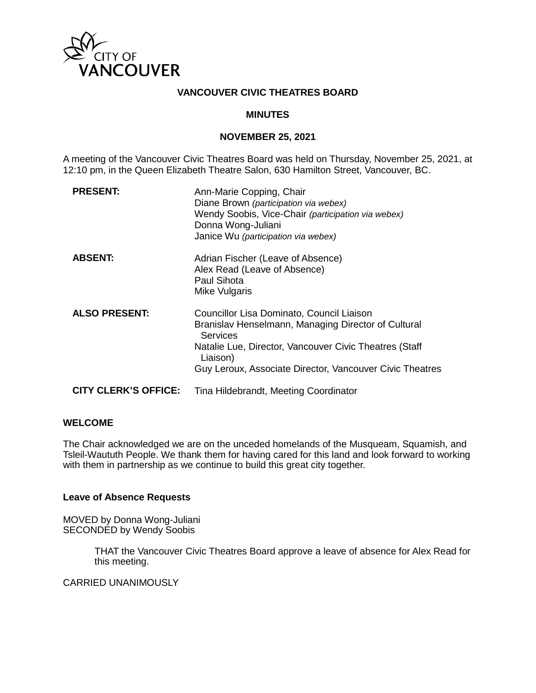

### **VANCOUVER CIVIC THEATRES BOARD**

### **MINUTES**

### **NOVEMBER 25, 2021**

A meeting of the Vancouver Civic Theatres Board was held on Thursday, November 25, 2021, at 12:10 pm, in the Queen Elizabeth Theatre Salon, 630 Hamilton Street, Vancouver, BC.

| <b>PRESENT:</b>             | Ann-Marie Copping, Chair<br>Diane Brown (participation via webex)<br>Wendy Soobis, Vice-Chair (participation via webex)<br>Donna Wong-Juliani<br>Janice Wu (participation via webex)                                                                  |
|-----------------------------|-------------------------------------------------------------------------------------------------------------------------------------------------------------------------------------------------------------------------------------------------------|
| <b>ABSENT:</b>              | Adrian Fischer (Leave of Absence)<br>Alex Read (Leave of Absence)<br>Paul Sihota<br>Mike Vulgaris                                                                                                                                                     |
| <b>ALSO PRESENT:</b>        | Councillor Lisa Dominato, Council Liaison<br>Branislav Henselmann, Managing Director of Cultural<br><b>Services</b><br>Natalie Lue, Director, Vancouver Civic Theatres (Staff<br>Liaison)<br>Guy Leroux, Associate Director, Vancouver Civic Theatres |
| <b>CITY CLERK'S OFFICE:</b> | Tina Hildebrandt, Meeting Coordinator                                                                                                                                                                                                                 |

### **WELCOME**

The Chair acknowledged we are on the unceded homelands of the Musqueam, Squamish, and Tsleil-Waututh People. We thank them for having cared for this land and look forward to working with them in partnership as we continue to build this great city together.

### **Leave of Absence Requests**

MOVED by Donna Wong-Juliani SECONDED by Wendy Soobis

> THAT the Vancouver Civic Theatres Board approve a leave of absence for Alex Read for this meeting.

### CARRIED UNANIMOUSLY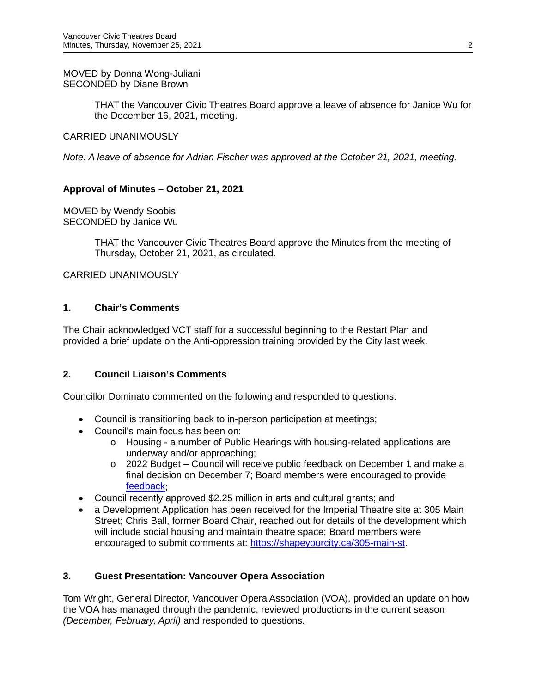THAT the Vancouver Civic Theatres Board approve a leave of absence for Janice Wu for the December 16, 2021, meeting.

### CARRIED UNANIMOUSLY

*Note: A leave of absence for Adrian Fischer was approved at the October 21, 2021, meeting.*

## **Approval of Minutes – October 21, 2021**

MOVED by Wendy Soobis SECONDED by Janice Wu

> THAT the Vancouver Civic Theatres Board approve the Minutes from the meeting of Thursday, October 21, 2021, as circulated.

## CARRIED UNANIMOUSLY

## **1. Chair's Comments**

The Chair acknowledged VCT staff for a successful beginning to the Restart Plan and provided a brief update on the Anti-oppression training provided by the City last week.

## **2. Council Liaison's Comments**

Councillor Dominato commented on the following and responded to questions:

- Council is transitioning back to in-person participation at meetings;
- Council's main focus has been on:
	- o Housing a number of Public Hearings with housing-related applications are underway and/or approaching;
	- o 2022 Budget Council will receive public feedback on December 1 and make a final decision on December 7; Board members were encouraged to provide [feedback;](https://vancouver.ca/your-government/budget-engagement.aspx)
- Council recently approved \$2.25 million in arts and cultural grants; and
- a Development Application has been received for the Imperial Theatre site at 305 Main Street; Chris Ball, former Board Chair, reached out for details of the development which will include social housing and maintain theatre space; Board members were encouraged to submit comments at: [https://shapeyourcity.ca/305-main-st.](https://shapeyourcity.ca/305-main-st)

## **3. Guest Presentation: Vancouver Opera Association**

Tom Wright, General Director, Vancouver Opera Association (VOA), provided an update on how the VOA has managed through the pandemic, reviewed productions in the current season *(December, February, April)* and responded to questions.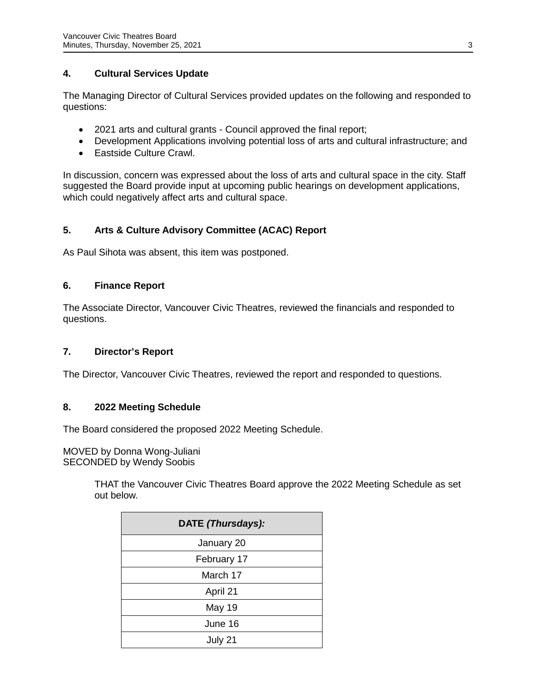## **4. Cultural Services Update**

The Managing Director of Cultural Services provided updates on the following and responded to questions:

- 2021 arts and cultural grants Council approved the final report;
- Development Applications involving potential loss of arts and cultural infrastructure; and
- Eastside Culture Crawl.

In discussion, concern was expressed about the loss of arts and cultural space in the city. Staff suggested the Board provide input at upcoming public hearings on development applications, which could negatively affect arts and cultural space.

# **5. Arts & Culture Advisory Committee (ACAC) Report**

As Paul Sihota was absent, this item was postponed.

## **6. Finance Report**

The Associate Director, Vancouver Civic Theatres, reviewed the financials and responded to questions.

## **7. Director's Report**

The Director, Vancouver Civic Theatres, reviewed the report and responded to questions.

## **8. 2022 Meeting Schedule**

The Board considered the proposed 2022 Meeting Schedule.

MOVED by Donna Wong-Juliani SECONDED by Wendy Soobis

> THAT the Vancouver Civic Theatres Board approve the 2022 Meeting Schedule as set out below.

| DATE (Thursdays): |
|-------------------|
| January 20        |
| February 17       |
| March 17          |
| April 21          |
| May 19            |
| June 16           |
| July 21           |